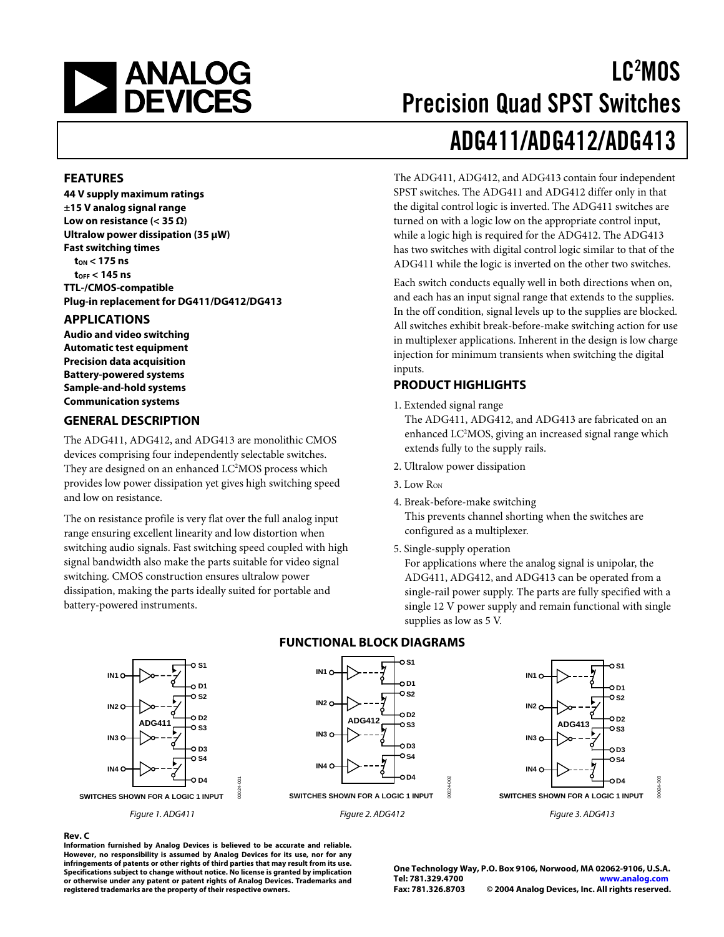# **NEWALOG**<br>DEVICES

## LC2 MOS Precision Quad SPST Switches ADG411/ADG412/ADG413

The ADG411, ADG412, and ADG413 contain four independent SPST switches. The ADG411 and ADG412 differ only in that the digital control logic is inverted. The ADG411 switches are turned on with a logic low on the appropriate control input, while a logic high is required for the ADG412. The ADG413 has two switches with digital control logic similar to that of the

**FEATURES** 

**44 V supply maximum ratings ±15 V analog signal range Low on resistance (< 35 Ω) Ultralow power dissipation (35 µW) Fast switching times tON < 175 ns tOFF < 145 ns TTL-/CMOS-compatible Plug-in replacement for DG411/DG412/DG413** 

#### **APPLICATIONS**

**Audio and video switching Automatic test equipment Precision data acquisition Battery-powered systems Sample-and-hold systems Communication systems** 

#### **GENERAL DESCRIPTION**

The ADG411, ADG412, and ADG413 are monolithic CMOS devices comprising four independently selectable switches. They are designed on an enhanced LC<sup>2</sup>MOS process which provides low power dissipation yet gives high switching speed and low on resistance.

The on resistance profile is very flat over the full analog input range ensuring excellent linearity and low distortion when switching audio signals. Fast switching speed coupled with high signal bandwidth also make the parts suitable for video signal switching. CMOS construction ensures ultralow power dissipation, making the parts ideally suited for portable and battery-powered instruments.

ADG411 while the logic is inverted on the other two switches. Each switch conducts equally well in both directions when on, and each has an input signal range that extends to the supplies. In the off condition, signal levels up to the supplies are blocked. All switches exhibit break-before-make switching action for use in multiplexer applications. Inherent in the design is low charge injection for minimum transients when switching the digital inputs.

#### **PRODUCT HIGHLIGHTS**

1. Extended signal range

The ADG411, ADG412, and ADG413 are fabricated on an enhanced LC<sup>2</sup>MOS, giving an increased signal range which extends fully to the supply rails.

- 2. Ultralow power dissipation
- 3. Low Ron

4. Break-before-make switching This prevents channel shorting when the switches are configured as a multiplexer.

5. Single-supply operation

For applications where the analog signal is unipolar, the ADG411, ADG412, and ADG413 can be operated from a single-rail power supply. The parts are fully specified with a single 12 V power supply and remain functional with single supplies as low as 5 V.



#### **FUNCTIONAL BLOCK DIAGRAMS**

**Rev. C Information furnished by Analog Devices is believed to be accurate and reliable. However, no responsibility is assumed by Analog Devices for its use, nor for any infringements of patents or other rights of third parties that may result from its use. Specifications subject to change without notice. No license is granted by implication or otherwise under any patent or patent rights of Analog Devices. Trademarks and registered trademarks are the property of their respective owners.**

**One Technology Way, P.O. Box 9106, Norwood, MA 02062-9106, U.S.A. Tel: 781.329.4700 [www.analog.com](http://www.analog.com) Fax: 781.326.8703 © 2004 Analog Devices, Inc. All rights reserved.**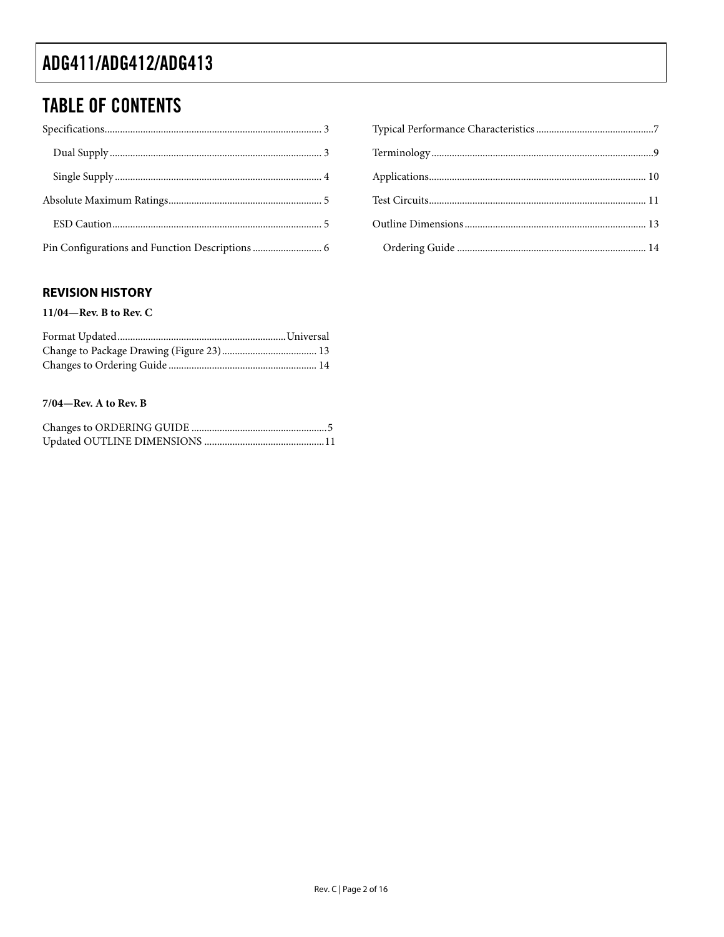### **TABLE OF CONTENTS**

#### **REVISION HISTORY**

11/04—Rev. B to Rev. C

#### $7/04$ —Rev. A to Rev. B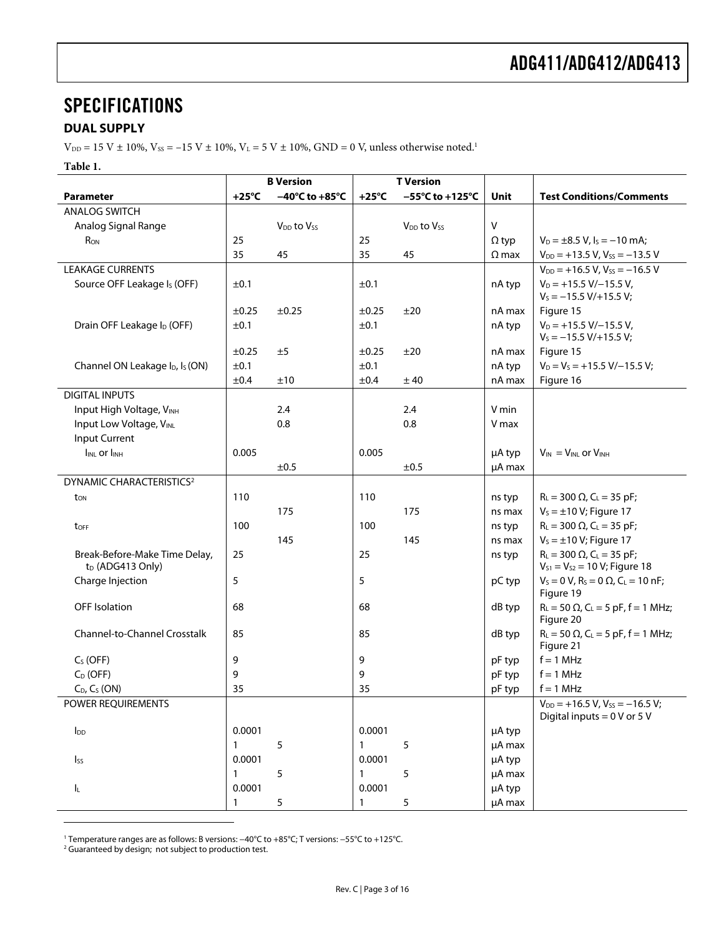### <span id="page-2-0"></span>**SPECIFICATIONS**

#### **DUAL SUPPLY**

 $V_{DD} = 15$  V  $\pm$  10%,  $V_{SS} = -15$  V  $\pm$  10%,  $V_L = 5$  V  $\pm$  10%, GND = 0 V, unless otherwise noted.<sup>1</sup>

**Table 1.** 

|                                                               |                 | <b>B</b> Version                   | <b>T</b> Version |                                      |              |                                                                                      |
|---------------------------------------------------------------|-----------------|------------------------------------|------------------|--------------------------------------|--------------|--------------------------------------------------------------------------------------|
| <b>Parameter</b>                                              | $+25^{\circ}$ C | $-40^{\circ}$ C to $+85^{\circ}$ C | $+25^{\circ}$ C  | $-55^{\circ}$ C to +125 $^{\circ}$ C | Unit         | <b>Test Conditions/Comments</b>                                                      |
| <b>ANALOG SWITCH</b>                                          |                 |                                    |                  |                                      |              |                                                                                      |
| Analog Signal Range                                           |                 | $V_{DD}$ to $V_{SS}$               |                  | V <sub>DD</sub> to V <sub>SS</sub>   | $\mathsf{V}$ |                                                                                      |
| R <sub>ON</sub>                                               | 25              |                                    | 25               |                                      | $\Omega$ typ | $V_D = \pm 8.5$ V, $I_S = -10$ mA;                                                   |
|                                                               | 35              | 45                                 | 35               | 45                                   | $\Omega$ max | $V_{DD}$ = +13.5 V, V <sub>ss</sub> = -13.5 V                                        |
| <b>LEAKAGE CURRENTS</b>                                       |                 |                                    |                  |                                      |              | $V_{DD}$ = +16.5 V, V <sub>ss</sub> = -16.5 V                                        |
| Source OFF Leakage Is (OFF)                                   | ±0.1            |                                    | ±0.1             |                                      | nA typ       | $V_D = +15.5 V/-15.5 V,$<br>$V_s = -15.5 V/+15.5 V;$                                 |
|                                                               | $\pm 0.25$      | ±0.25                              | ±0.25            | ±20                                  | nA max       | Figure 15                                                                            |
| Drain OFF Leakage I <sub>D</sub> (OFF)                        | ±0.1            |                                    | ±0.1             |                                      | nA typ       | $V_D = +15.5 V/-15.5 V,$<br>$V_s = -15.5 V/+15.5 V;$                                 |
|                                                               | $\pm 0.25$      | ±5                                 | $\pm 0.25$       | ±20                                  | nA max       | Figure 15                                                                            |
| Channel ON Leakage I <sub>D</sub> , I <sub>s</sub> (ON)       | ±0.1            |                                    | ±0.1             |                                      | nA typ       | $V_D = V_S = +15.5 V/-15.5 V;$                                                       |
|                                                               | ±0.4            | ±10                                | ±0.4             | ± 40                                 | nA max       | Figure 16                                                                            |
| <b>DIGITAL INPUTS</b>                                         |                 |                                    |                  |                                      |              |                                                                                      |
| Input High Voltage, VINH                                      |                 | 2.4                                |                  | 2.4                                  | V min        |                                                                                      |
| Input Low Voltage, VINL                                       |                 | 0.8                                |                  | 0.8                                  | V max        |                                                                                      |
| Input Current                                                 |                 |                                    |                  |                                      |              |                                                                                      |
| <b>IINL Or IINH</b>                                           | 0.005           |                                    | 0.005            |                                      | µA typ       | $V_{IN} = V_{INL}$ or $V_{INH}$                                                      |
|                                                               |                 | ±0.5                               |                  | ±0.5                                 | µA max       |                                                                                      |
| DYNAMIC CHARACTERISTICS <sup>2</sup>                          |                 |                                    |                  |                                      |              |                                                                                      |
| ton                                                           | 110             |                                    | 110              |                                      | ns typ       | $R_L = 300 \Omega$ , $C_L = 35 pF$ ;                                                 |
|                                                               |                 | 175                                |                  | 175                                  | ns max       | $V_s = \pm 10$ V; Figure 17                                                          |
| toff                                                          | 100             |                                    | 100              |                                      | ns typ       | $R_L = 300 \Omega$ , C <sub>L</sub> = 35 pF;                                         |
|                                                               |                 | 145                                |                  | 145                                  | ns max       | $V_s = \pm 10$ V; Figure 17                                                          |
| Break-Before-Make Time Delay,<br>t <sub>D</sub> (ADG413 Only) | 25              |                                    | 25               |                                      | ns typ       | $R_L = 300 \Omega$ , C <sub>L</sub> = 35 pF;<br>$V_{S1} = V_{S2} = 10 V$ ; Figure 18 |
| Charge Injection                                              | 5               |                                    | 5                |                                      | pC typ       | $V_s = 0 V$ , $R_s = 0 \Omega$ , $C_l = 10 nF$ ;<br>Figure 19                        |
| <b>OFF</b> Isolation                                          | 68              |                                    | 68               |                                      | dB typ       | $R_L = 50 \Omega$ , C <sub>L</sub> = 5 pF, f = 1 MHz;<br>Figure 20                   |
| <b>Channel-to-Channel Crosstalk</b>                           | 85              |                                    | 85               |                                      | dB typ       | $R_L = 50 \Omega$ , $C_L = 5 pF$ , $f = 1 MHz$ ;<br>Figure 21                        |
| $C_S$ (OFF)                                                   | 9               |                                    | 9                |                                      | pF typ       | $f = 1$ MHz                                                                          |
| $C_D$ (OFF)                                                   | 9               |                                    | 9                |                                      | pF typ       | $f = 1$ MHz                                                                          |
| $C_D$ , $C_S$ (ON)                                            | 35              |                                    | 35               |                                      | pF typ       | $f = 1$ MHz                                                                          |
| POWER REQUIREMENTS                                            |                 |                                    |                  |                                      |              | $V_{DD}$ = +16.5 V, V <sub>ss</sub> = -16.5 V;<br>Digital inputs = $0$ V or 5 V      |
| $I_{DD}$                                                      | 0.0001          |                                    | 0.0001           |                                      | µA typ       |                                                                                      |
|                                                               | $\mathbf{1}$    | 5                                  | $\mathbf{1}$     | 5                                    | µA max       |                                                                                      |
| $I_{SS}$                                                      | 0.0001          |                                    | 0.0001           |                                      | µA typ       |                                                                                      |
|                                                               | $\mathbf{1}$    | 5                                  | $\mathbf{1}$     | 5                                    | µA max       |                                                                                      |
| IL.                                                           | 0.0001          |                                    | 0.0001           |                                      | µA typ       |                                                                                      |
|                                                               | $\mathbf{1}$    | 5                                  | $\mathbf{1}$     | 5                                    | µA max       |                                                                                      |

<span id="page-2-1"></span>1 Temperature ranges are as follows: B versions: −40°C to +85°C; T versions: −55°C to +125°C. 2

<sup>2</sup> Guaranteed by design; not subject to production test.

 $\overline{a}$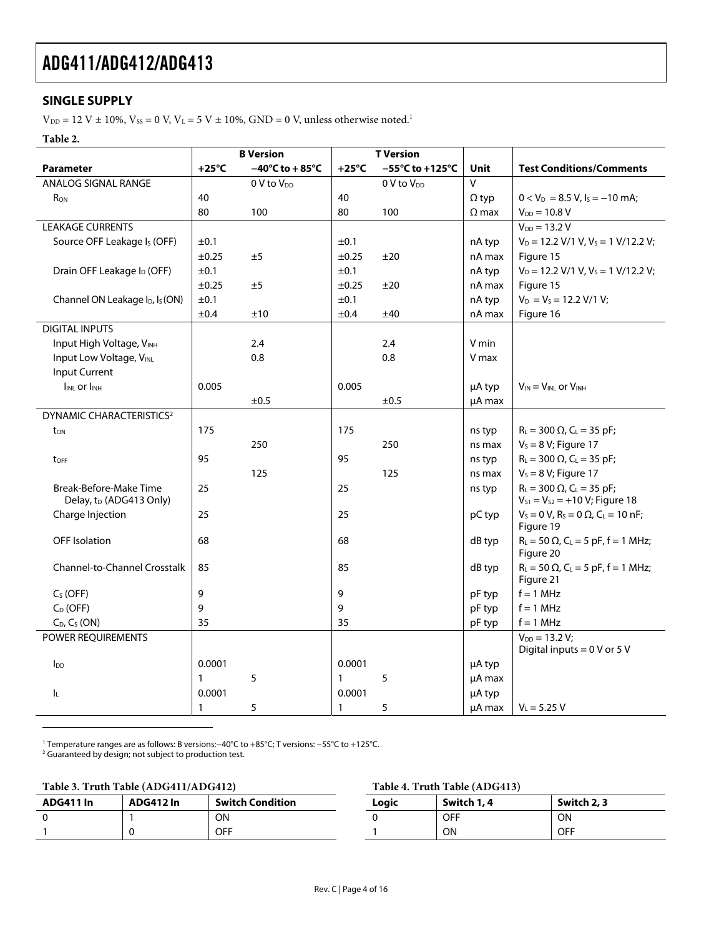#### <span id="page-3-0"></span>**SINGLE SUPPLY**

 $\rm V_{\rm DD}$  = [1](#page-3-2)2 V  $\pm$  10%, Vss = 0 V, V $\rm L$  = 5 V  $\pm$  10%, GND = 0 V, unless otherwise noted.<sup>1</sup>

**Table 2.** 

|                                                               |              | <b>B</b> Version       | <b>T</b> Version |                                      |              |                                                                                       |
|---------------------------------------------------------------|--------------|------------------------|------------------|--------------------------------------|--------------|---------------------------------------------------------------------------------------|
| <b>Parameter</b>                                              | +25°C        | –40°C to + 85°C        | $+25^{\circ}$ C  | $-55^{\circ}$ C to +125 $^{\circ}$ C | <b>Unit</b>  | <b>Test Conditions/Comments</b>                                                       |
| ANALOG SIGNAL RANGE                                           |              | 0 V to V <sub>DD</sub> |                  | 0 V to V <sub>DD</sub>               | $\vee$       |                                                                                       |
| R <sub>ON</sub>                                               | 40           |                        | 40               |                                      | $\Omega$ typ | $0 < V_D = 8.5 V$ , $I_S = -10$ mA;                                                   |
|                                                               | 80           | 100                    | 80               | 100                                  | $\Omega$ max | $V_{DD} = 10.8 V$                                                                     |
| <b>LEAKAGE CURRENTS</b>                                       |              |                        |                  |                                      |              | $V_{DD} = 13.2 V$                                                                     |
| Source OFF Leakage I <sub>s</sub> (OFF)                       | ±0.1         |                        | ±0.1             |                                      | nA typ       | $V_D = 12.2$ V/1 V, $V_S = 1$ V/12.2 V;                                               |
|                                                               | $\pm 0.25$   | ±5                     | $\pm 0.25$       | ±20                                  | nA max       | Figure 15                                                                             |
| Drain OFF Leakage I <sub>D</sub> (OFF)                        | ±0.1         |                        | ±0.1             |                                      | nA typ       | $V_D = 12.2$ V/1 V, V <sub>s</sub> = 1 V/12.2 V;                                      |
|                                                               | ±0.25        | ±5                     | $\pm 0.25$       | ±20                                  | nA max       | Figure 15                                                                             |
| Channel ON Leakage I <sub>D</sub> , I <sub>s</sub> (ON)       | ±0.1         |                        | ±0.1             |                                      | nA typ       | $V_D = V_S = 12.2 V/1 V_i$                                                            |
|                                                               | ±0.4         | ±10                    | ±0.4             | ±40                                  | nA max       | Figure 16                                                                             |
| <b>DIGITAL INPUTS</b>                                         |              |                        |                  |                                      |              |                                                                                       |
| Input High Voltage, VINH                                      |              | 2.4                    |                  | 2.4                                  | V min        |                                                                                       |
| Input Low Voltage, VINL                                       |              | 0.8                    |                  | 0.8                                  | V max        |                                                                                       |
| Input Current                                                 |              |                        |                  |                                      |              |                                                                                       |
| I <sub>INL</sub> or I <sub>INH</sub>                          | 0.005        |                        | 0.005            |                                      | µA typ       | $V_{IN} = V_{INL}$ or $V_{INH}$                                                       |
|                                                               |              | ±0.5                   |                  | ±0.5                                 | µA max       |                                                                                       |
| <b>DYNAMIC CHARACTERISTICS<sup>2</sup></b>                    |              |                        |                  |                                      |              |                                                                                       |
| t <sub>on</sub>                                               | 175          |                        | 175              |                                      | ns typ       | $R_L$ = 300 $\Omega$ , C <sub>L</sub> = 35 pF;                                        |
|                                                               |              | 250                    |                  | 250                                  | ns max       | $V_s = 8 V$ ; Figure 17                                                               |
| toff                                                          | 95           |                        | 95               |                                      | ns typ       | $R_L = 300 \Omega$ , C <sub>L</sub> = 35 pF;                                          |
|                                                               |              | 125                    |                  | 125                                  | ns max       | $V_s = 8 V$ ; Figure 17                                                               |
| Break-Before-Make Time<br>Delay, t <sub>D</sub> (ADG413 Only) | 25           |                        | 25               |                                      | ns typ       | $R_L = 300 \Omega$ , C <sub>L</sub> = 35 pF;<br>$V_{S1} = V_{S2} = +10 V$ ; Figure 18 |
| Charge Injection                                              | 25           |                        | 25               |                                      | pC typ       | $V_s = 0 V$ , $R_s = 0 \Omega$ , $C_l = 10 nF$ ;<br>Figure 19                         |
| <b>OFF</b> Isolation                                          | 68           |                        | 68               |                                      | dB typ       | $R_L = 50 \Omega$ , $C_L = 5 pF$ , f = 1 MHz;<br>Figure 20                            |
| <b>Channel-to-Channel Crosstalk</b>                           | 85           |                        | 85               |                                      | dB typ       | $R_L = 50 \Omega$ , $C_L = 5 pF$ , f = 1 MHz;<br>Figure 21                            |
| $CS$ (OFF)                                                    | 9            |                        | 9                |                                      | pF typ       | $f = 1$ MHz                                                                           |
| $C_D$ (OFF)                                                   | 9            |                        | 9                |                                      | pF typ       | $f = 1$ MHz                                                                           |
| $C_D$ , $C_S$ (ON)                                            | 35           |                        | 35               |                                      | pF typ       | $f = 1$ MHz                                                                           |
| POWER REQUIREMENTS                                            |              |                        |                  |                                      |              | $V_{DD} = 13.2 V;$                                                                    |
|                                                               |              |                        |                  |                                      |              | Digital inputs = $0$ V or 5 V                                                         |
| $I_{DD}$                                                      | 0.0001       |                        | 0.0001           |                                      | µA typ       |                                                                                       |
|                                                               | $\mathbf{1}$ | 5                      | $\mathbf{1}$     | 5                                    | µA max       |                                                                                       |
| IL.                                                           | 0.0001       |                        | 0.0001           |                                      | µA typ       |                                                                                       |
|                                                               | $\mathbf{1}$ | 5                      | 1                | 5                                    | µA max       | $V_1 = 5.25 V$                                                                        |

<span id="page-3-2"></span>1 Temperature ranges are as follows: B versions:−40°C to +85°C; T versions: −55°C to +125°C. 2 Guaranteed by design; not subject to production test.

 $\overline{a}$ 

<span id="page-3-1"></span>

|           | Table 3. Truth Table (ADG411/ADG412) |                         |                                     | Table 4. Truth Table (ADG413) |     |  |
|-----------|--------------------------------------|-------------------------|-------------------------------------|-------------------------------|-----|--|
| ADG411 In | ADG412 In                            | <b>Switch Condition</b> | Switch 1, 4<br>Switch 2, 3<br>Loaic |                               |     |  |
|           |                                      | <b>ON</b>               |                                     | <b>OFF</b>                    | ON  |  |
|           |                                      | <b>OFF</b>              |                                     | <b>ON</b>                     | OFF |  |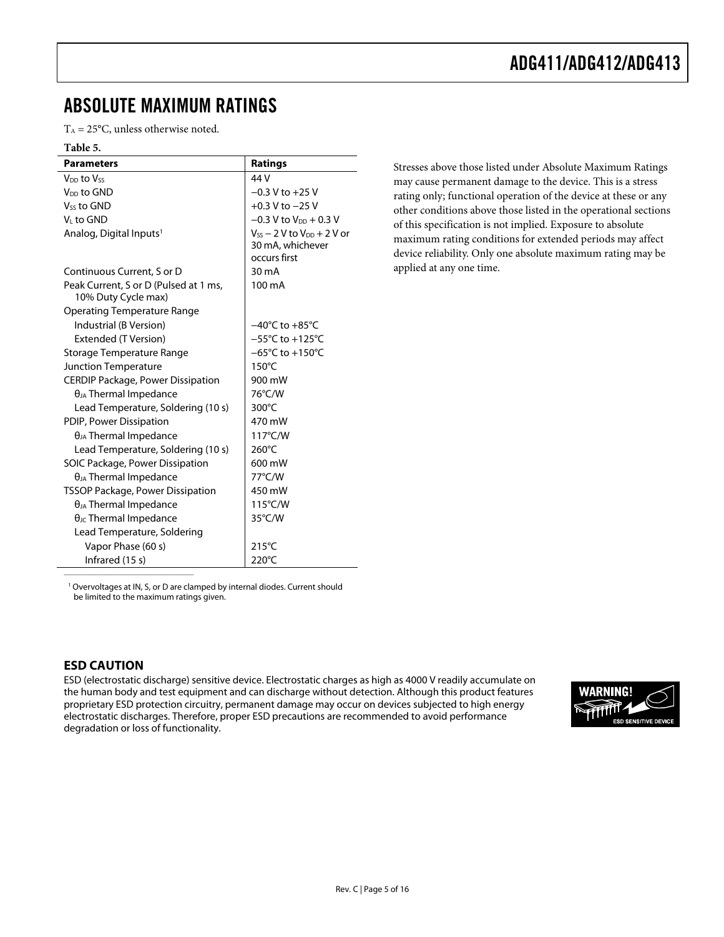### <span id="page-4-0"></span>ABSOLUTE MAXIMUM RATINGS

 $T_A = 25$ °C, unless otherwise noted.

#### **Table 5.**

| <b>Parameters</b>                                            | <b>Ratings</b>                       |
|--------------------------------------------------------------|--------------------------------------|
| V <sub>DD</sub> to Vss                                       | 44 V                                 |
| $V_{DD}$ to GND                                              | $-0.3$ V to $+25$ V                  |
| $V_{SS}$ to GND                                              | $+0.3$ V to $-25$ V                  |
| V∟to GND                                                     | $-0.3$ V to V <sub>DD</sub> + 0.3 V  |
| Analog, Digital Inputs <sup>1</sup>                          | $V_{SS}$ – 2 V to $V_{DD}$ + 2 V or  |
|                                                              | 30 mA, whichever                     |
|                                                              | occurs first                         |
| Continuous Current, S or D                                   | $30 \text{ mA}$                      |
| Peak Current, S or D (Pulsed at 1 ms,<br>10% Duty Cycle max) | 100 mA                               |
| Operating Temperature Range                                  |                                      |
| Industrial (B Version)                                       | $-40^{\circ}$ C to $+85^{\circ}$ C   |
| Extended (T Version)                                         | $-55^{\circ}$ C to $+125^{\circ}$ C  |
| Storage Temperature Range                                    | $-65^{\circ}$ C to +150 $^{\circ}$ C |
| <b>Junction Temperature</b>                                  | $150^{\circ}$ C                      |
| <b>CERDIP Package, Power Dissipation</b>                     | 900 mW                               |
| $\theta_{JA}$ Thermal Impedance                              | 76°C/W                               |
| Lead Temperature, Soldering (10 s)                           | 300°C                                |
| PDIP, Power Dissipation                                      | 470 mW                               |
| $\theta_{JA}$ Thermal Impedance                              | $117^{\circ}$ C/W                    |
| Lead Temperature, Soldering (10 s)                           | $260^{\circ}$ C                      |
| SOIC Package, Power Dissipation                              | 600 mW                               |
| $\theta_{JA}$ Thermal Impedance                              | 77°C/W                               |
| TSSOP Package, Power Dissipation                             | 450 mW                               |
| $\theta_{JA}$ Thermal Impedance                              | 115°C/W                              |
| $\theta_{\text{JC}}$ Thermal Impedance                       | 35°C/W                               |
| Lead Temperature, Soldering                                  |                                      |
| Vapor Phase (60 s)                                           | $215^{\circ}$ C                      |
| Infrared (15 s)                                              | 220°C                                |

Stresses above those listed under Absolute Maximum Ratings may cause permanent damage to the device. This is a stress rating only; functional operation of the device at these or any other conditions above those listed in the operational sections of this specification is not implied. Exposure to absolute maximum rating conditions for extended periods may affect device reliability. Only one absolute maximum rating may be applied at any one time.

<sup>1</sup> Overvoltages at IN, S, or D are clamped by internal diodes. Current should be limited to the maximum ratings given.

#### **ESD CAUTION**

\_\_\_\_\_\_\_\_\_\_\_\_\_\_\_\_\_\_\_\_\_\_\_\_\_\_\_\_\_\_\_\_\_\_\_\_\_\_\_\_

ESD (electrostatic discharge) sensitive device. Electrostatic charges as high as 4000 V readily accumulate on the human body and test equipment and can discharge without detection. Although this product features proprietary ESD protection circuitry, permanent damage may occur on devices subjected to high energy electrostatic discharges. Therefore, proper ESD precautions are recommended to avoid performance degradation or loss of functionality.

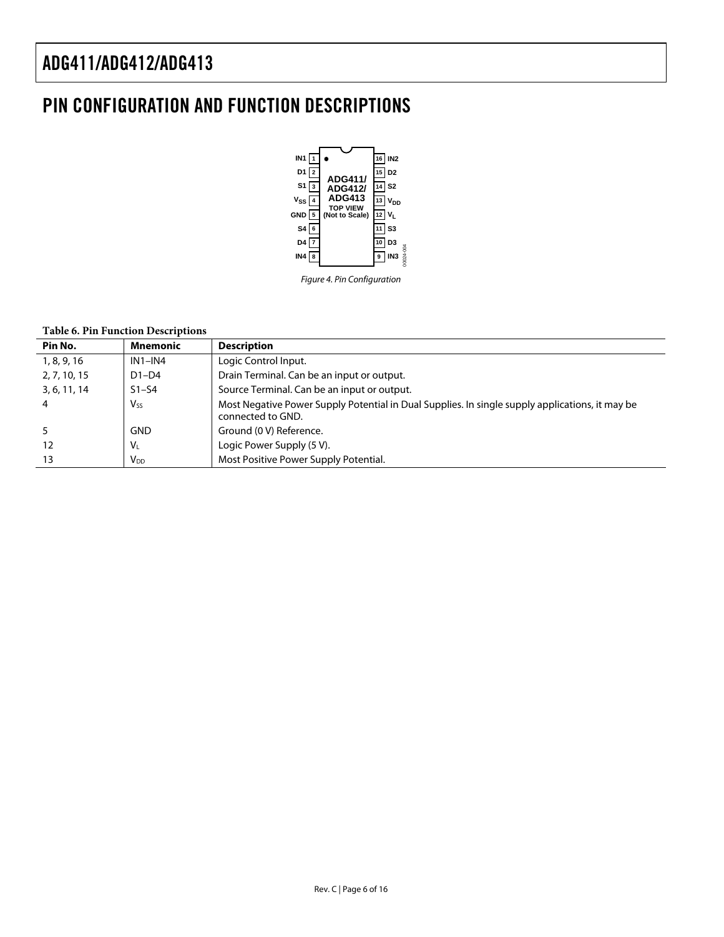### <span id="page-5-0"></span>PIN CONFIGURATION AND FUNCTION DESCRIPTIONS



Figure 4. Pin Configuration

#### **Table 6. Pin Function Descriptions**

| Pin No.        | <b>Mnemonic</b> | <b>Description</b>                                                                                                   |
|----------------|-----------------|----------------------------------------------------------------------------------------------------------------------|
| 1, 8, 9, 16    | $IN1-N4$        | Logic Control Input.                                                                                                 |
| 2, 7, 10, 15   | $D1-D4$         | Drain Terminal. Can be an input or output.                                                                           |
| 3, 6, 11, 14   | $S1-S4$         | Source Terminal. Can be an input or output.                                                                          |
| $\overline{a}$ | $V_{SS}$        | Most Negative Power Supply Potential in Dual Supplies. In single supply applications, it may be<br>connected to GND. |
|                | <b>GND</b>      | Ground (0 V) Reference.                                                                                              |
| 12             | V <sub>L</sub>  | Logic Power Supply (5 V).                                                                                            |
| 13             | V <sub>DD</sub> | Most Positive Power Supply Potential.                                                                                |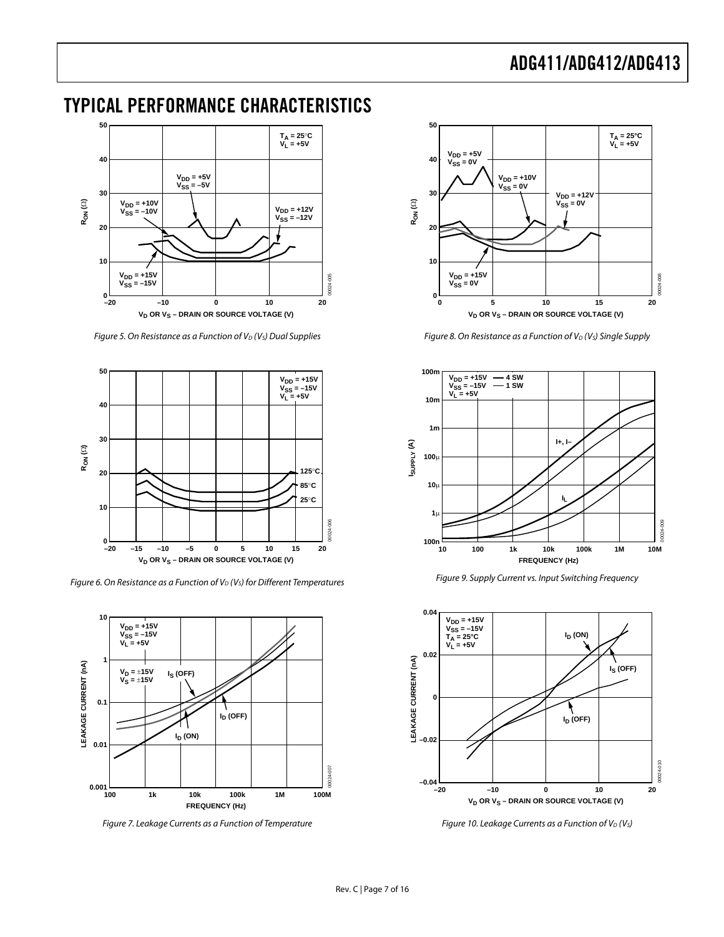### <span id="page-6-0"></span>TYPICAL PERFORMANCE CHARACTERISTICS



Figure 5. On Resistance as a Function of  $V_D$  ( $V_S$ ) Dual Supplies



Figure 6. On Resistance as a Function of  $V_D$  (V<sub>s</sub>) for Different Temperatures



Figure 7. Leakage Currents as a Function of Temperature



Figure 8. On Resistance as a Function of  $V_D$  ( $V_S$ ) Single Supply



Figure 9. Supply Current vs. Input Switching Frequency



Figure 10. Leakage Currents as a Function of  $V_D$  (V<sub>S</sub>)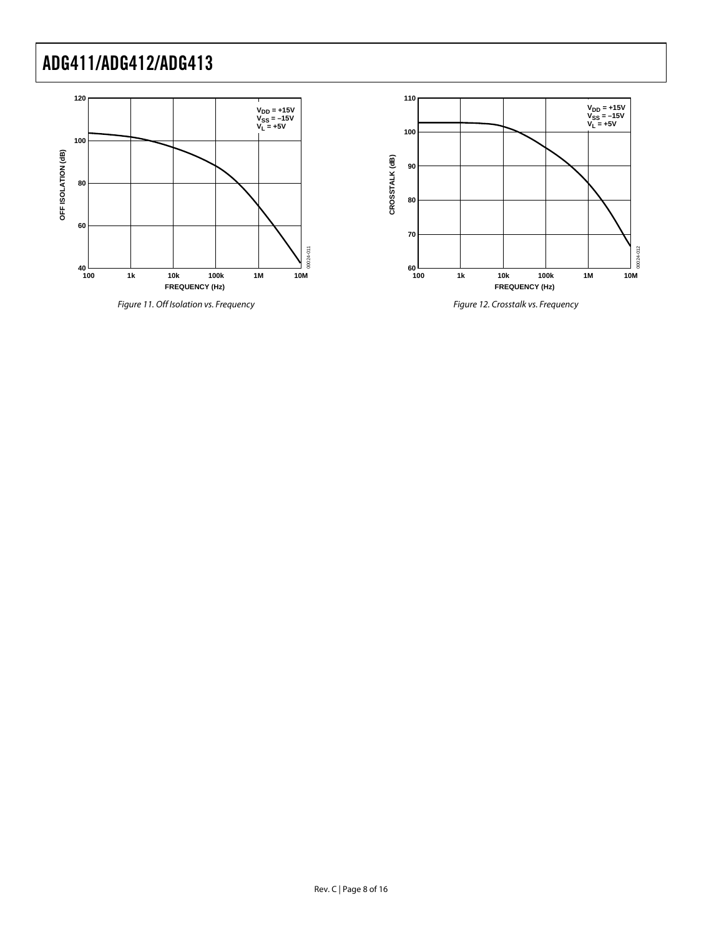



Figure 11. Off Isolation vs. Frequency

Figure 12. Crosstalk vs. Frequency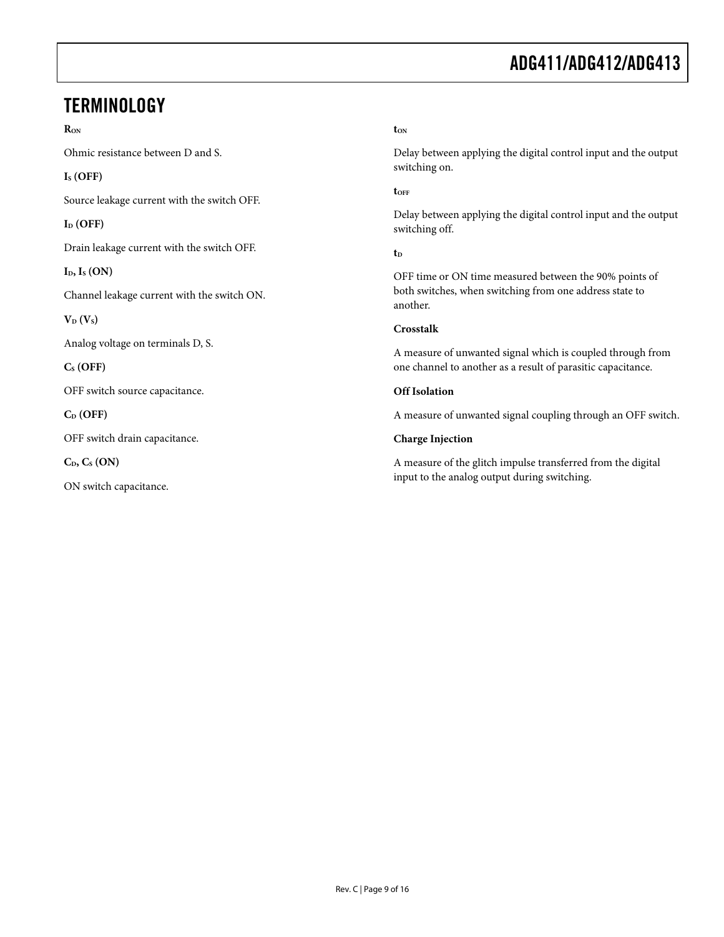### <span id="page-8-0"></span>**TERMINOLOGY**

#### **RON**

Ohmic resistance between D and S.

#### **IS (OFF)**

Source leakage current with the switch OFF.

#### $I_D$  (OFF)

Drain leakage current with the switch OFF.

**ID, IS (ON)** 

Channel leakage current with the switch ON.

 $V_D$   $(V_S)$ 

Analog voltage on terminals D, S.

**CS (OFF)** 

OFF switch source capacitance.

**CD (OFF)** 

OFF switch drain capacitance.

 $C_{D}$ ,  $C_{S}$  (ON)

ON switch capacitance.

#### **tON**

Delay between applying the digital control input and the output switching on.

**tOFF**

Delay between applying the digital control input and the output switching off.

#### **tD**

OFF time or ON time measured between the 90% points of both switches, when switching from one address state to another.

#### **Crosstalk**

A measure of unwanted signal which is coupled through from one channel to another as a result of parasitic capacitance.

#### **Off Isolation**

A measure of unwanted signal coupling through an OFF switch.

#### **Charge Injection**

A measure of the glitch impulse transferred from the digital input to the analog output during switching.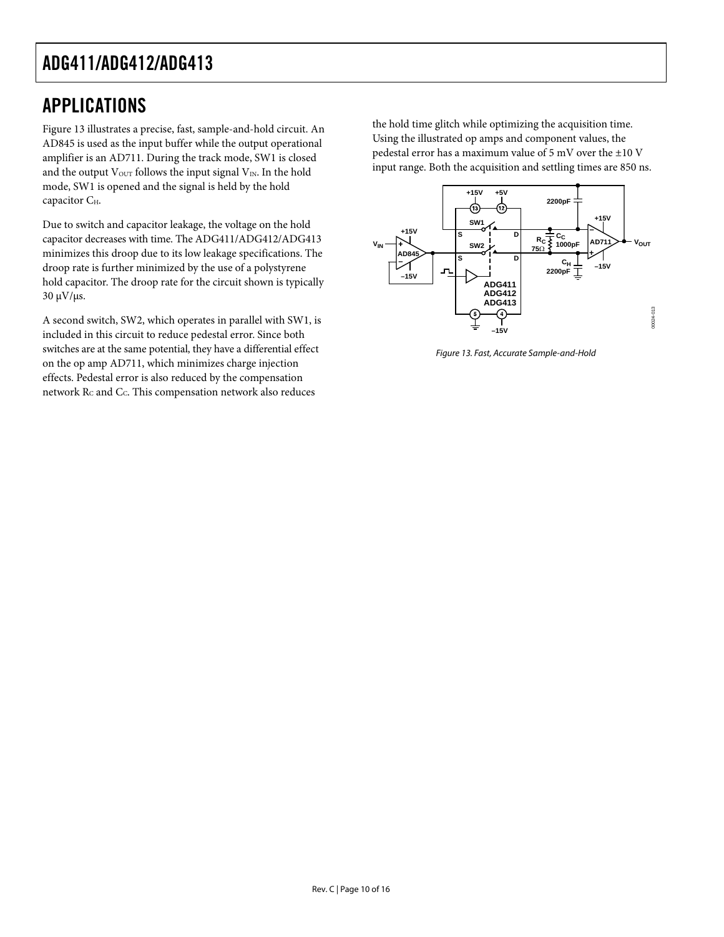### <span id="page-9-0"></span>APPLICATIONS

[Figure 13 i](#page-9-1)llustrates a precise, fast, sample-and-hold circuit. An AD845 is used as the input buffer while the output operational amplifier is an AD711. During the track mode, SW1 is closed and the output  $V<sub>OUT</sub>$  follows the input signal  $V<sub>IN</sub>$ . In the hold mode, SW1 is opened and the signal is held by the hold capacitor C<sub>H</sub>.

Due to switch and capacitor leakage, the voltage on the hold capacitor decreases with time. The ADG411/ADG412/ADG413 minimizes this droop due to its low leakage specifications. The droop rate is further minimized by the use of a polystyrene hold capacitor. The droop rate for the circuit shown is typically  $30 \mu V/\mu s$ .

A second switch, SW2, which operates in parallel with SW1, is included in this circuit to reduce pedestal error. Since both switches are at the same potential, they have a differential effect on the op amp AD711, which minimizes charge injection effects. Pedestal error is also reduced by the compensation network  $R_C$  and  $C_C$ . This compensation network also reduces

the hold time glitch while optimizing the acquisition time. Using the illustrated op amps and component values, the pedestal error has a maximum value of 5 mV over the ±10 V input range. Both the acquisition and settling times are 850 ns.

<span id="page-9-1"></span>

Figure 13. Fast, Accurate Sample-and-Hold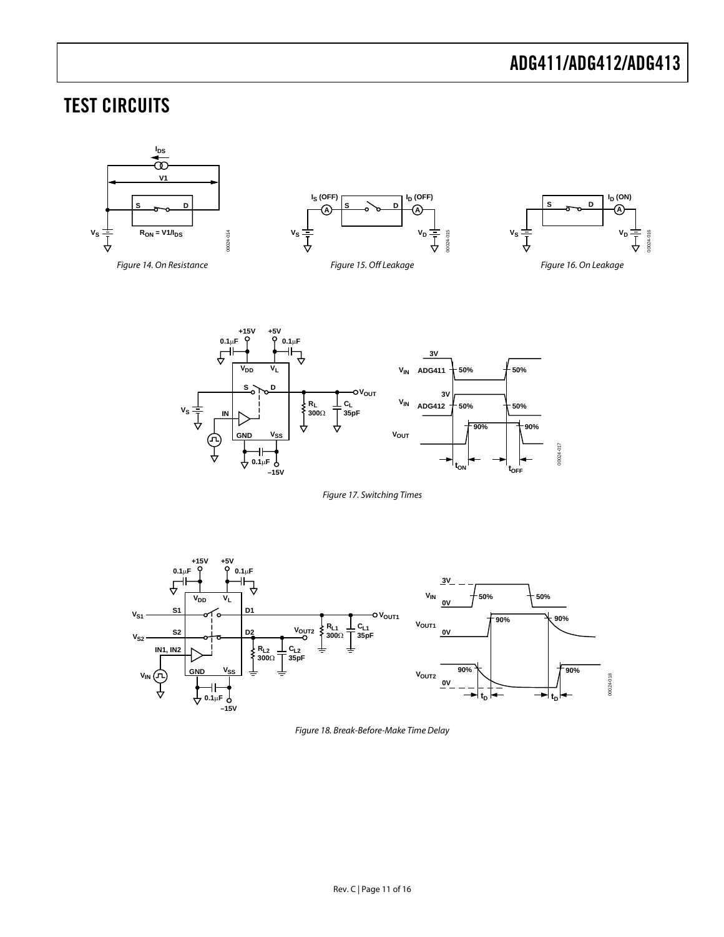### <span id="page-10-0"></span>TEST CIRCUITS



<span id="page-10-3"></span><span id="page-10-1"></span>

<span id="page-10-4"></span><span id="page-10-2"></span>Figure 17. Switching Times



Figure 18. Break-Before-Make Time Delay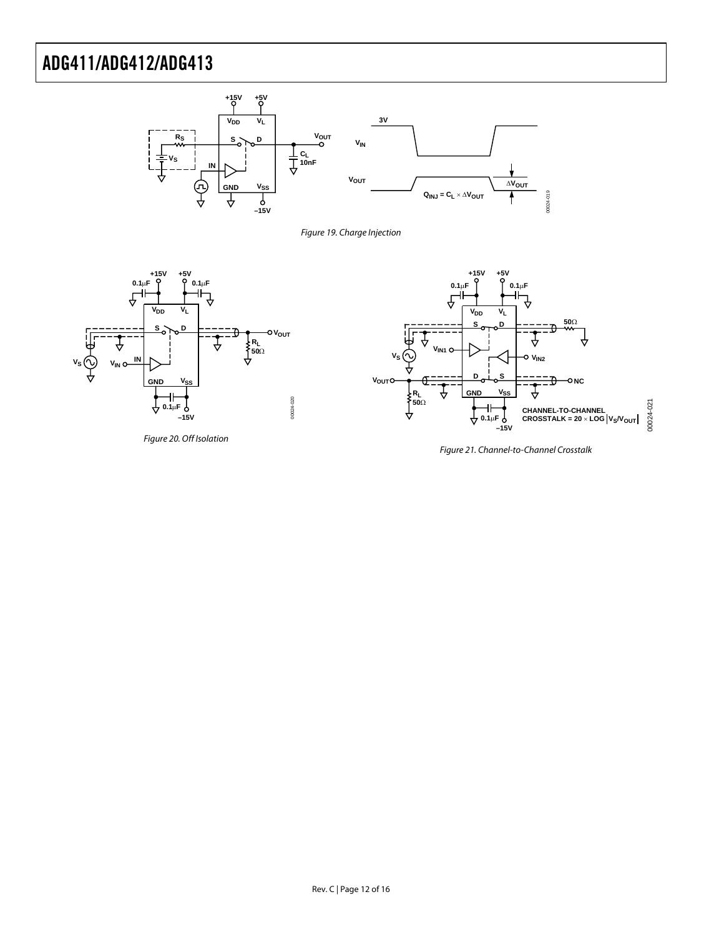

<span id="page-11-0"></span>Figure 19. Charge Injection

<span id="page-11-1"></span>

Figure 20. Off Isolation

<span id="page-11-2"></span>

Figure 21. Channel-to-Channel Crosstalk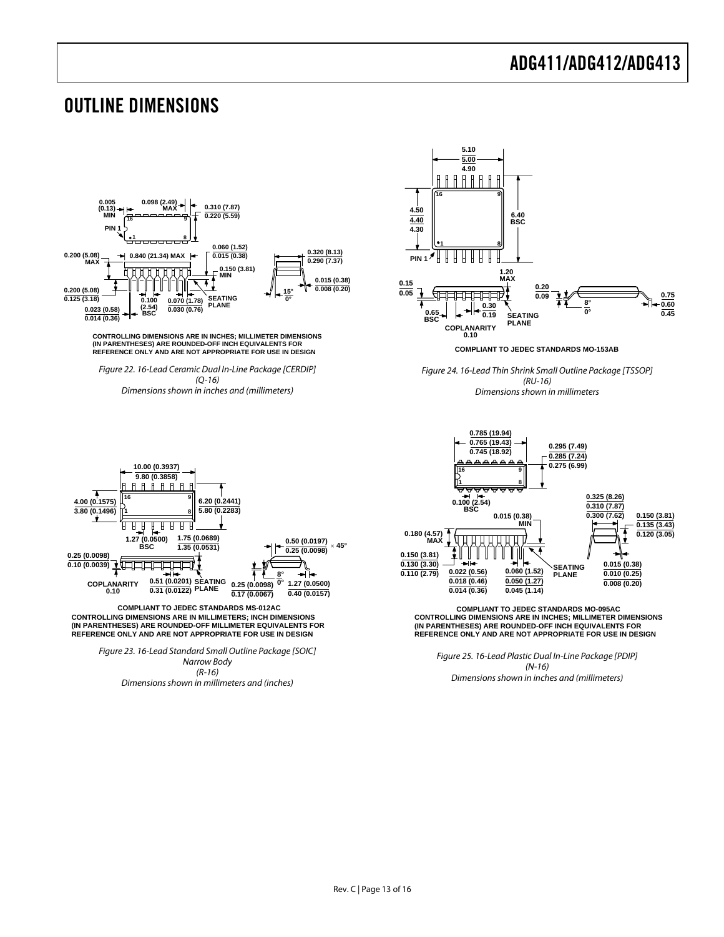#### <span id="page-12-0"></span>OUTLINE DIMENSIONS

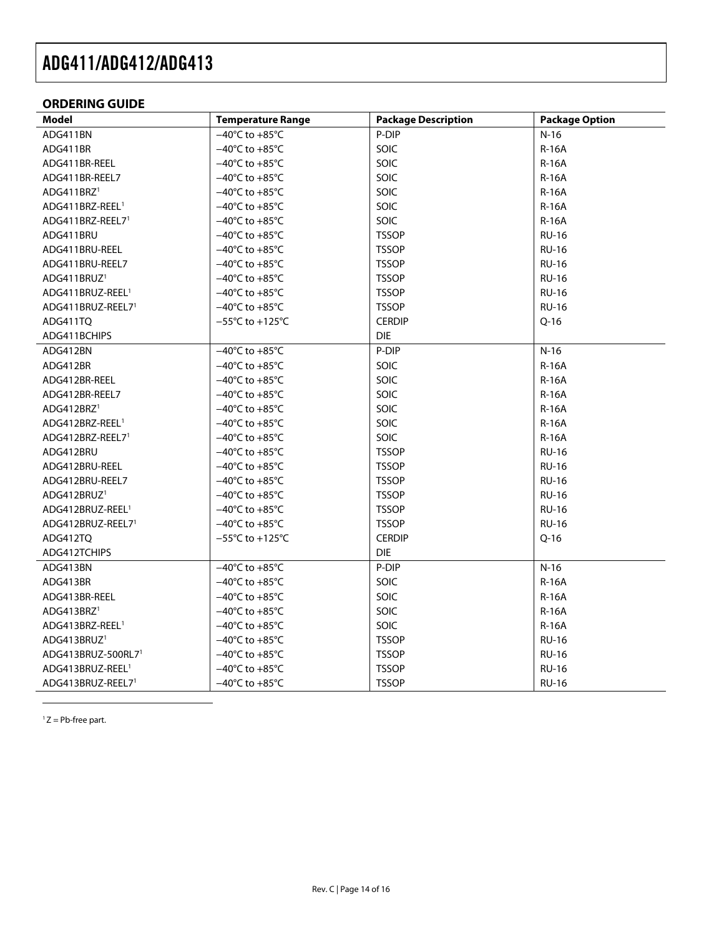#### <span id="page-13-0"></span>**ORDERING GUIDE**

| <b>Model</b>                 | <b>Temperature Range</b>             | <b>Package Description</b> | <b>Package Option</b> |
|------------------------------|--------------------------------------|----------------------------|-----------------------|
| ADG411BN                     | $-40^{\circ}$ C to $+85^{\circ}$ C   | P-DIP                      | $N-16$                |
| ADG411BR                     | $-40^{\circ}$ C to $+85^{\circ}$ C   | SOIC                       | <b>R-16A</b>          |
| ADG411BR-REEL                | $-40^{\circ}$ C to $+85^{\circ}$ C   | SOIC                       | $R-16A$               |
| ADG411BR-REEL7               | $-40^{\circ}$ C to $+85^{\circ}$ C   | SOIC                       | <b>R-16A</b>          |
| ADG411BRZ <sup>1</sup>       | $-40^{\circ}$ C to $+85^{\circ}$ C   | SOIC                       | $R-16A$               |
| ADG411BRZ-REEL <sup>1</sup>  | $-40^{\circ}$ C to $+85^{\circ}$ C   | SOIC                       | <b>R-16A</b>          |
| ADG411BRZ-REEL71             | $-40^{\circ}$ C to $+85^{\circ}$ C   | SOIC                       | <b>R-16A</b>          |
| ADG411BRU                    | $-40^{\circ}$ C to $+85^{\circ}$ C   | <b>TSSOP</b>               | <b>RU-16</b>          |
| ADG411BRU-REEL               | $-40^{\circ}$ C to $+85^{\circ}$ C   | <b>TSSOP</b>               | <b>RU-16</b>          |
| ADG411BRU-REEL7              | $-40^{\circ}$ C to $+85^{\circ}$ C   | <b>TSSOP</b>               | <b>RU-16</b>          |
| ADG411BRUZ <sup>1</sup>      | $-40^{\circ}$ C to $+85^{\circ}$ C   | <b>TSSOP</b>               | <b>RU-16</b>          |
| ADG411BRUZ-REEL <sup>1</sup> | $-40^{\circ}$ C to $+85^{\circ}$ C   | <b>TSSOP</b>               | <b>RU-16</b>          |
| ADG411BRUZ-REEL71            | $-40^{\circ}$ C to $+85^{\circ}$ C   | <b>TSSOP</b>               | <b>RU-16</b>          |
| ADG411TQ                     | $-55^{\circ}$ C to +125 $^{\circ}$ C | <b>CERDIP</b>              | $Q-16$                |
| ADG411BCHIPS                 |                                      | <b>DIE</b>                 |                       |
| ADG412BN                     | $-40^{\circ}$ C to $+85^{\circ}$ C   | P-DIP                      | $N-16$                |
| ADG412BR                     | $-40^{\circ}$ C to $+85^{\circ}$ C   | SOIC                       | <b>R-16A</b>          |
| ADG412BR-REEL                | $-40^{\circ}$ C to $+85^{\circ}$ C   | SOIC                       | <b>R-16A</b>          |
| ADG412BR-REEL7               | $-40^{\circ}$ C to $+85^{\circ}$ C   | <b>SOIC</b>                | $R-16A$               |
| ADG412BRZ <sup>1</sup>       | $-40^{\circ}$ C to $+85^{\circ}$ C   | SOIC                       | <b>R-16A</b>          |
| ADG412BRZ-REEL <sup>1</sup>  | $-40^{\circ}$ C to $+85^{\circ}$ C   | SOIC                       | $R-16A$               |
| ADG412BRZ-REEL71             | $-40^{\circ}$ C to $+85^{\circ}$ C   | SOIC                       | <b>R-16A</b>          |
| ADG412BRU                    | $-40^{\circ}$ C to $+85^{\circ}$ C   | <b>TSSOP</b>               | <b>RU-16</b>          |
| ADG412BRU-REEL               | $-40^{\circ}$ C to $+85^{\circ}$ C   | <b>TSSOP</b>               | <b>RU-16</b>          |
| ADG412BRU-REEL7              | $-40^{\circ}$ C to $+85^{\circ}$ C   | <b>TSSOP</b>               | <b>RU-16</b>          |
| ADG412BRUZ <sup>1</sup>      | $-40^{\circ}$ C to $+85^{\circ}$ C   | <b>TSSOP</b>               | <b>RU-16</b>          |
| ADG412BRUZ-REEL <sup>1</sup> | $-40^{\circ}$ C to $+85^{\circ}$ C   | <b>TSSOP</b>               | <b>RU-16</b>          |
| ADG412BRUZ-REEL71            | $-40^{\circ}$ C to $+85^{\circ}$ C   | <b>TSSOP</b>               | <b>RU-16</b>          |
| ADG412TO                     | $-55^{\circ}$ C to $+125^{\circ}$ C  | <b>CERDIP</b>              | $Q-16$                |
| ADG412TCHIPS                 |                                      | <b>DIE</b>                 |                       |
| ADG413BN                     | $-40^{\circ}$ C to $+85^{\circ}$ C   | P-DIP                      | $N-16$                |
| ADG413BR                     | $-40^{\circ}$ C to $+85^{\circ}$ C   | SOIC                       | <b>R-16A</b>          |
| ADG413BR-REEL                | $-40^{\circ}$ C to $+85^{\circ}$ C   | SOIC                       | <b>R-16A</b>          |
| ADG413BRZ <sup>1</sup>       | $-40^{\circ}$ C to $+85^{\circ}$ C   | SOIC                       | $R-16A$               |
| ADG413BRZ-REEL <sup>1</sup>  | $-40^{\circ}$ C to $+85^{\circ}$ C   | SOIC                       | $R-16A$               |
| ADG413BRUZ <sup>1</sup>      | $-40^{\circ}$ C to $+85^{\circ}$ C   | <b>TSSOP</b>               | <b>RU-16</b>          |
| ADG413BRUZ-500RL71           | $-40^{\circ}$ C to $+85^{\circ}$ C   | <b>TSSOP</b>               | <b>RU-16</b>          |
| ADG413BRUZ-REEL <sup>1</sup> | $-40^{\circ}$ C to $+85^{\circ}$ C   | <b>TSSOP</b>               | <b>RU-16</b>          |
| ADG413BRUZ-REEL71            | $-40^{\circ}$ C to $+85^{\circ}$ C   | <b>TSSOP</b>               | <b>RU-16</b>          |

<span id="page-13-2"></span><span id="page-13-1"></span> $1 Z = Pb$ -free part.

 $\overline{a}$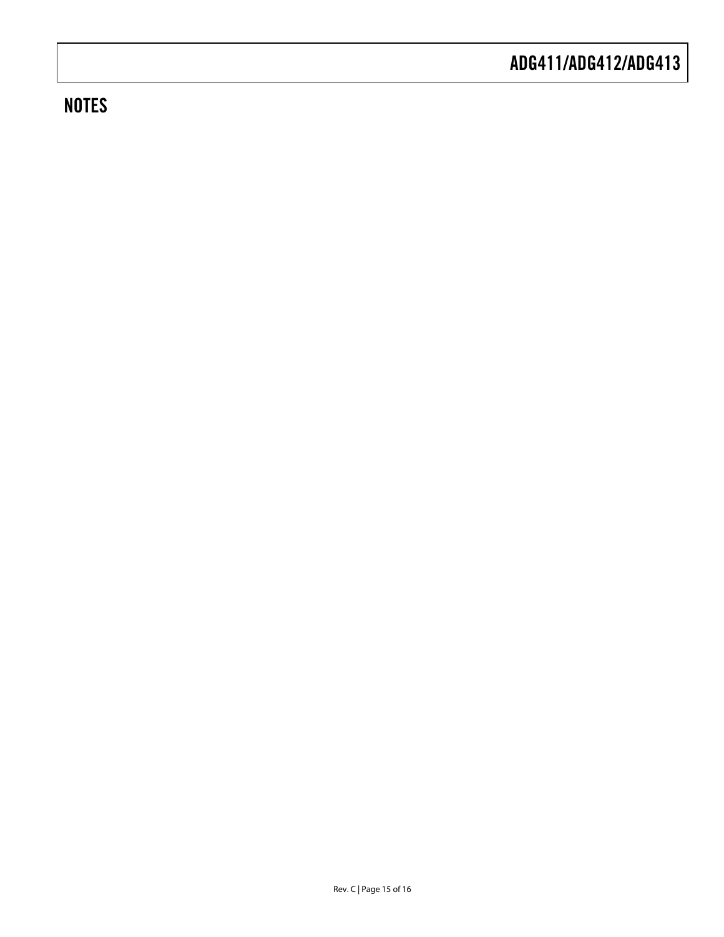### **NOTES**